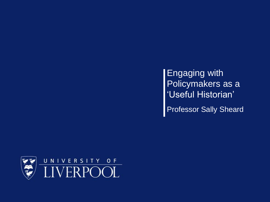Engaging with Policymakers as a 'Useful Historian' **Professor Sally Sheard** 

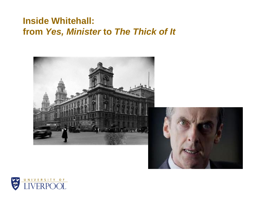#### **Inside Whitehall: from** *Yes, Minister* **to** *The Thick of It*



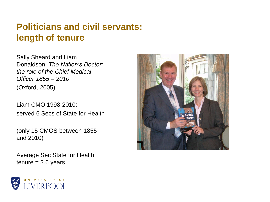#### **Politicians and civil servants: length of tenure**

Sally Sheard and Liam Donaldson, *The Nation's Doctor: the role of the Chief Medical Officer 1855 – 2010*  (Oxford, 2005)

Liam CMO 1998-2010: served 6 Secs of State for Health

(only 15 CMOS between 1855 and 2010)

Average Sec State for Health  $t$ enure = 3.6 years



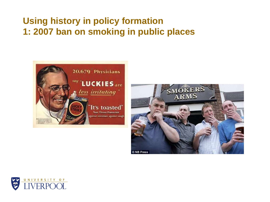### **Using history in policy formation 1: 2007 ban on smoking in public places**





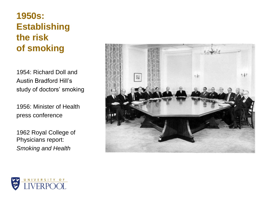### **1950s: Establishing the risk of smoking**

1954: Richard Doll and Austin Bradford Hill's study of doctors' smoking

1956: Minister of Health press conference

1962 Royal College of Physicians report: *Smoking and Health*



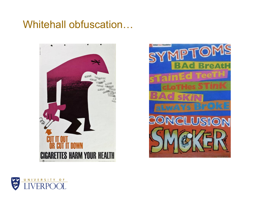## Whitehall obfuscation…





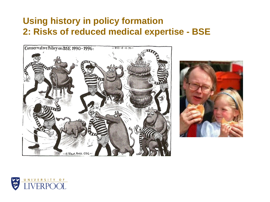#### **Using history in policy formation 2: Risks of reduced medical expertise - BSE**





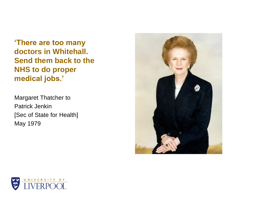**'There are too many doctors in Whitehall. Send them back to the NHS to do proper medical jobs.'**

Margaret Thatcher to Patrick Jenkin [Sec of State for Health] May 1979



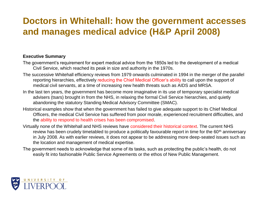#### **Doctors in Whitehall: how the government accesses and manages medical advice (H&P April 2008)**

#### **Executive Summary**

- The government's requirement for expert medical advice from the 1850s led to the development of a medical Civil Service, which reached its peak in size and authority in the 1970s.
- The successive Whitehall efficiency reviews from 1979 onwards culminated in 1994 in the merger of the parallel reporting hierarchies, effectively reducing the Chief Medical Officer's ability to call upon the support of medical civil servants, at a time of increasing new health threats such as AIDS and MRSA.
- In the last ten years, the government has become more imaginative in its use of temporary specialist medical advisers (tsars) brought in from the NHS, in relaxing the formal Civil Service hierarchies, and quietly abandoning the statutory Standing Medical Advisory Committee (SMAC).
- Historical examples show that when the government has failed to give adequate support to its Chief Medical Officers, the medical Civil Service has suffered from poor morale, experienced recruitment difficulties, and the ability to respond to health crises has been compromised.
- Virtually none of the Whitehall and NHS reviews have considered their historical context. The current NHS review has been crudely timetabled to produce a politically favourable report in time for the 60<sup>th</sup> anniversary in July 2008. As with earlier reviews, it does not appear to be addressing more deep-seated issues such as the location and management of medical expertise.
- The government needs to acknowledge that some of its tasks, such as protecting the public's health, do not easily fit into fashionable Public Service Agreements or the ethos of New Public Management.

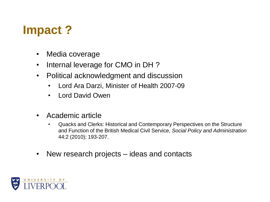# **Impact ?**

- Media coverage
- Internal leverage for CMO in DH ?
- Political acknowledgment and discussion
	- Lord Ara Darzi, Minister of Health 2007-09
	- Lord David Owen
- Academic article
	- Quacks and Clerks: Historical and Contemporary Perspectives on the Structure and Function of the British Medical Civil Service, *Social Policy and Administration*  44;2 (2010); 193-207.
- New research projects ideas and contacts